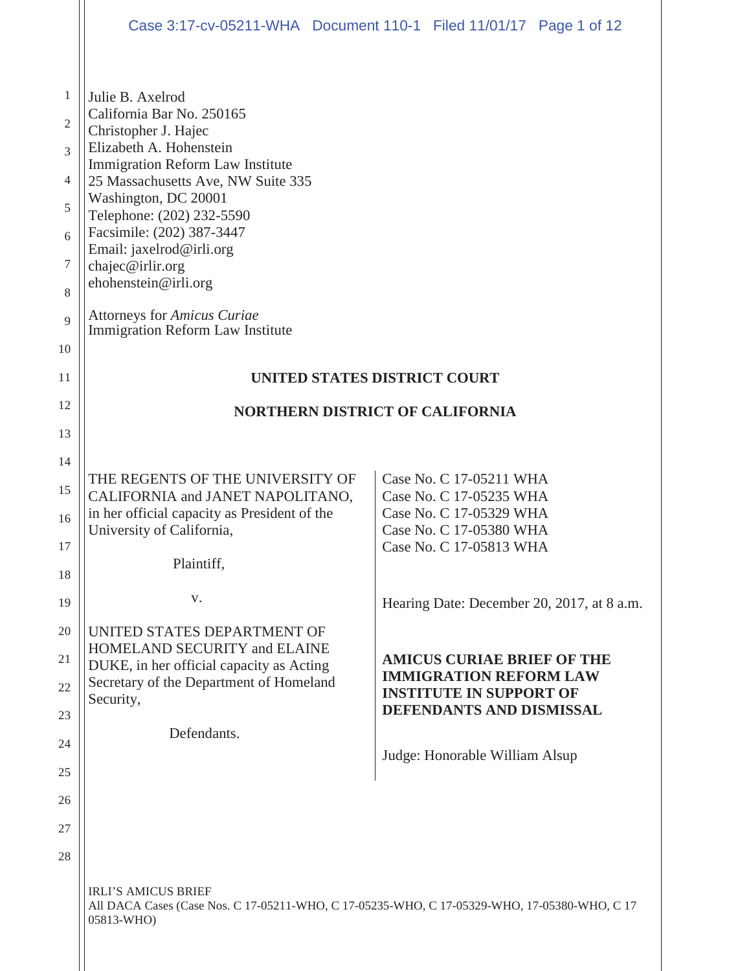|                                                 | Case 3:17-cv-05211-WHA Document 110-1 Filed 11/01/17 Page 1 of 12                                                                                                                                                                                                                                                                                                                                                     |  |                                                                    |                                            |  |
|-------------------------------------------------|-----------------------------------------------------------------------------------------------------------------------------------------------------------------------------------------------------------------------------------------------------------------------------------------------------------------------------------------------------------------------------------------------------------------------|--|--------------------------------------------------------------------|--------------------------------------------|--|
| 1<br>2<br>3<br>4<br>5<br>6<br>7<br>8<br>9<br>10 | Julie B. Axelrod<br>California Bar No. 250165<br>Christopher J. Hajec<br>Elizabeth A. Hohenstein<br>Immigration Reform Law Institute<br>25 Massachusetts Ave, NW Suite 335<br>Washington, DC 20001<br>Telephone: (202) 232-5590<br>Facsimile: (202) 387-3447<br>Email: jaxelrod@irli.org<br>chajec@irlir.org<br>ehohenstein@irli.org<br><b>Attorneys for Amicus Curiae</b><br><b>Immigration Reform Law Institute</b> |  |                                                                    |                                            |  |
| 11                                              | UNITED STATES DISTRICT COURT                                                                                                                                                                                                                                                                                                                                                                                          |  |                                                                    |                                            |  |
| 12                                              | <b>NORTHERN DISTRICT OF CALIFORNIA</b>                                                                                                                                                                                                                                                                                                                                                                                |  |                                                                    |                                            |  |
| 13                                              |                                                                                                                                                                                                                                                                                                                                                                                                                       |  |                                                                    |                                            |  |
| 14<br>15                                        | THE REGENTS OF THE UNIVERSITY OF                                                                                                                                                                                                                                                                                                                                                                                      |  | Case No. C 17-05211 WHA                                            |                                            |  |
| 16                                              | CALIFORNIA and JANET NAPOLITANO,<br>in her official capacity as President of the                                                                                                                                                                                                                                                                                                                                      |  | Case No. C 17-05235 WHA<br>Case No. C 17-05329 WHA                 |                                            |  |
| 17                                              | University of California,                                                                                                                                                                                                                                                                                                                                                                                             |  | Case No. C 17-05380 WHA<br>Case No. C 17-05813 WHA                 |                                            |  |
| 18                                              | Plaintiff,                                                                                                                                                                                                                                                                                                                                                                                                            |  |                                                                    |                                            |  |
| 19                                              | V.                                                                                                                                                                                                                                                                                                                                                                                                                    |  |                                                                    | Hearing Date: December 20, 2017, at 8 a.m. |  |
| 20                                              | UNITED STATES DEPARTMENT OF<br><b>HOMELAND SECURITY and ELAINE</b>                                                                                                                                                                                                                                                                                                                                                    |  |                                                                    |                                            |  |
| 21                                              | DUKE, in her official capacity as Acting<br>Secretary of the Department of Homeland                                                                                                                                                                                                                                                                                                                                   |  | <b>AMICUS CURIAE BRIEF OF THE</b><br><b>IMMIGRATION REFORM LAW</b> |                                            |  |
| 22<br>23                                        | Security,                                                                                                                                                                                                                                                                                                                                                                                                             |  | <b>INSTITUTE IN SUPPORT OF</b><br>DEFENDANTS AND DISMISSAL         |                                            |  |
| 24                                              | Defendants.                                                                                                                                                                                                                                                                                                                                                                                                           |  |                                                                    |                                            |  |
| 25                                              |                                                                                                                                                                                                                                                                                                                                                                                                                       |  | Judge: Honorable William Alsup                                     |                                            |  |
| 26                                              |                                                                                                                                                                                                                                                                                                                                                                                                                       |  |                                                                    |                                            |  |
| 27                                              |                                                                                                                                                                                                                                                                                                                                                                                                                       |  |                                                                    |                                            |  |
| 28                                              |                                                                                                                                                                                                                                                                                                                                                                                                                       |  |                                                                    |                                            |  |
|                                                 | <b>IRLI'S AMICUS BRIEF</b><br>All DACA Cases (Case Nos. C 17-05211-WHO, C 17-05235-WHO, C 17-05329-WHO, 17-05380-WHO, C 17<br>05813-WHO)                                                                                                                                                                                                                                                                              |  |                                                                    |                                            |  |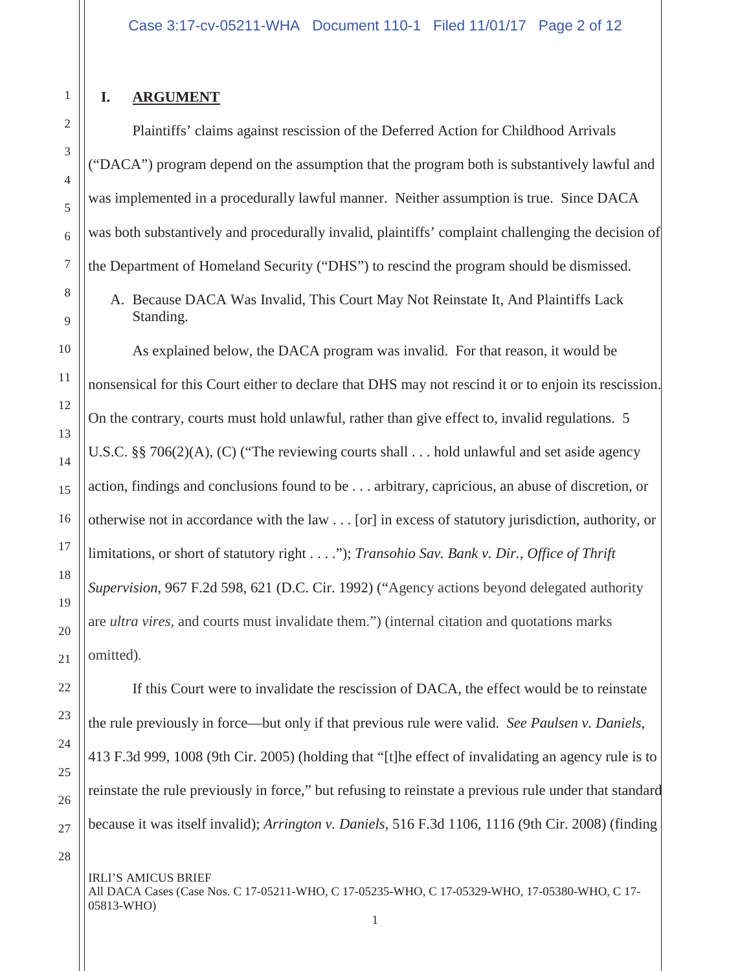## **I. ARGUMENT**

Plaintiffs' claims against rescission of the Deferred Action for Childhood Arrivals ("DACA") program depend on the assumption that the program both is substantively lawful and was implemented in a procedurally lawful manner. Neither assumption is true. Since DACA was both substantively and procedurally invalid, plaintiffs' complaint challenging the decision of the Department of Homeland Security ("DHS") to rescind the program should be dismissed.

A. Because DACA Was Invalid, This Court May Not Reinstate It, And Plaintiffs Lack Standing.

As explained below, the DACA program was invalid. For that reason, it would be nonsensical for this Court either to declare that DHS may not rescind it or to enjoin its rescission. On the contrary, courts must hold unlawful, rather than give effect to, invalid regulations. 5 U.S.C. §§ 706(2)(A), (C) ("The reviewing courts shall . . . hold unlawful and set aside agency action, findings and conclusions found to be . . . arbitrary, capricious, an abuse of discretion, or otherwise not in accordance with the law . . . [or] in excess of statutory jurisdiction, authority, or limitations, or short of statutory right . . . ."); *Transohio Sav. Bank v. Dir., Office of Thrift Supervision*, 967 F.2d 598, 621 (D.C. Cir. 1992) ("Agency actions beyond delegated authority are *ultra vires,* and courts must invalidate them.") (internal citation and quotations marks omitted).

If this Court were to invalidate the rescission of DACA, the effect would be to reinstate the rule previously in force—but only if that previous rule were valid. *See Paulsen v. Daniels,* 413 F.3d 999, 1008 (9th Cir. 2005) (holding that "[t]he effect of invalidating an agency rule is to reinstate the rule previously in force," but refusing to reinstate a previous rule under that standard because it was itself invalid); *Arrington v. Daniels*, 516 F.3d 1106, 1116 (9th Cir. 2008) (finding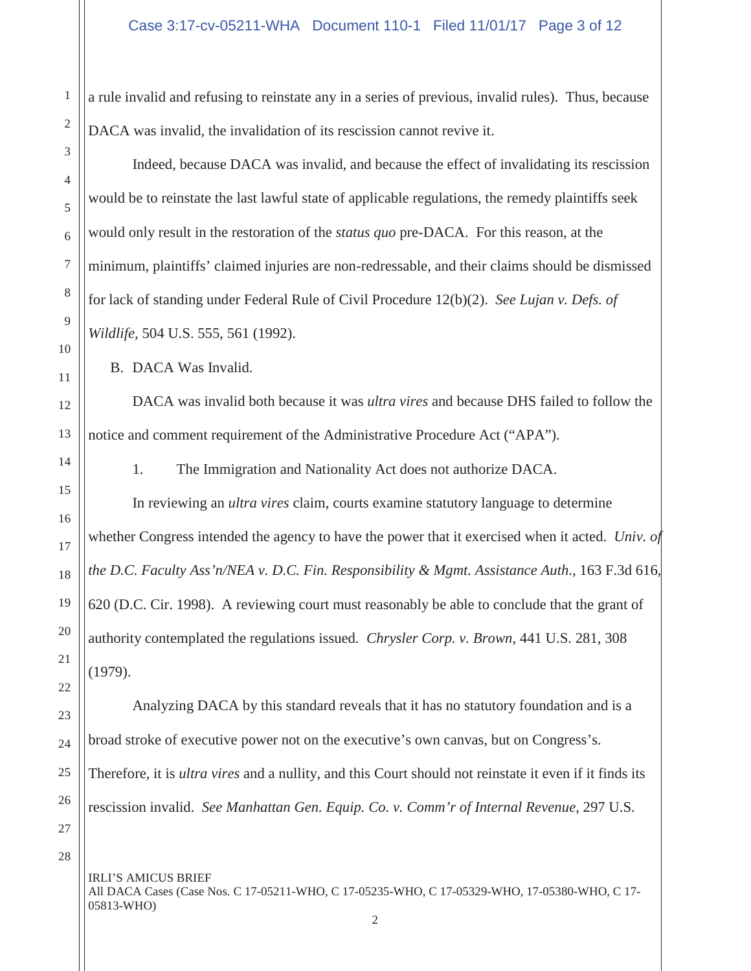a rule invalid and refusing to reinstate any in a series of previous, invalid rules). Thus, because DACA was invalid, the invalidation of its rescission cannot revive it.

Indeed, because DACA was invalid, and because the effect of invalidating its rescission would be to reinstate the last lawful state of applicable regulations, the remedy plaintiffs seek would only result in the restoration of the *status quo* pre-DACA. For this reason, at the minimum, plaintiffs' claimed injuries are non-redressable, and their claims should be dismissed for lack of standing under Federal Rule of Civil Procedure 12(b)(2). *See Lujan v. Defs. of Wildlife,* 504 U.S. 555, 561 (1992).

B. DACA Was Invalid.

DACA was invalid both because it was *ultra vires* and because DHS failed to follow the notice and comment requirement of the Administrative Procedure Act ("APA").

1. The Immigration and Nationality Act does not authorize DACA.

In reviewing an *ultra vires* claim, courts examine statutory language to determine whether Congress intended the agency to have the power that it exercised when it acted. *Univ. of the D.C. Faculty Ass'n/NEA v. D.C. Fin. Responsibility & Mgmt. Assistance Auth*., 163 F.3d 616, 620 (D.C. Cir. 1998). A reviewing court must reasonably be able to conclude that the grant of authority contemplated the regulations issued*. Chrysler Corp. v. Brown*, 441 U.S. 281, 308 (1979).

Analyzing DACA by this standard reveals that it has no statutory foundation and is a broad stroke of executive power not on the executive's own canvas, but on Congress's. Therefore, it is *ultra vires* and a nullity, and this Court should not reinstate it even if it finds its rescission invalid. *See Manhattan Gen. Equip. Co. v. Comm'r of Internal Revenue*, 297 U.S.

IRLI'S AMICUS BRIEF All DACA Cases (Case Nos. C 17-05211-WHO, C 17-05235-WHO, C 17-05329-WHO, 17-05380-WHO, C 17- 05813-WHO)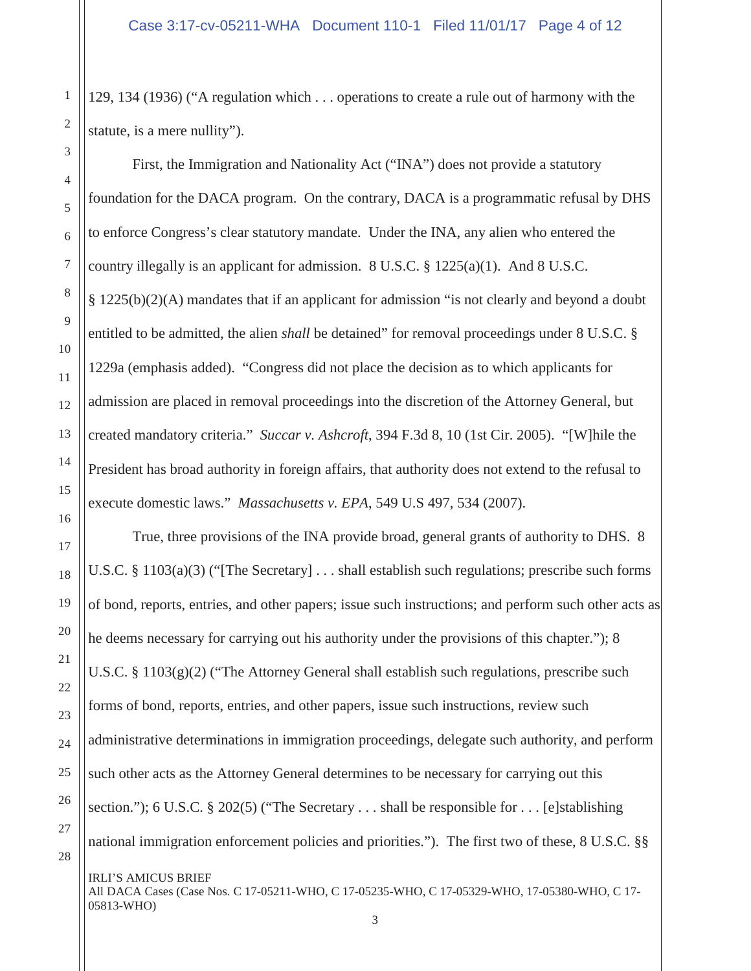129, 134 (1936) ("A regulation which . . . operations to create a rule out of harmony with the statute, is a mere nullity").

First, the Immigration and Nationality Act ("INA") does not provide a statutory foundation for the DACA program. On the contrary, DACA is a programmatic refusal by DHS to enforce Congress's clear statutory mandate. Under the INA, any alien who entered the country illegally is an applicant for admission. 8 U.S.C. § 1225(a)(1). And 8 U.S.C. § 1225(b)(2)(A) mandates that if an applicant for admission "is not clearly and beyond a doubt entitled to be admitted, the alien *shall* be detained" for removal proceedings under 8 U.S.C. § 1229a (emphasis added). "Congress did not place the decision as to which applicants for admission are placed in removal proceedings into the discretion of the Attorney General, but created mandatory criteria." *Succar v. Ashcroft*, 394 F.3d 8, 10 (1st Cir. 2005). "[W]hile the President has broad authority in foreign affairs, that authority does not extend to the refusal to execute domestic laws." *Massachusetts v. EPA*, 549 U.S 497, 534 (2007).

True, three provisions of the INA provide broad, general grants of authority to DHS. 8 U.S.C. § 1103(a)(3) ("The Secretary]  $\ldots$  shall establish such regulations; prescribe such forms of bond, reports, entries, and other papers; issue such instructions; and perform such other acts as he deems necessary for carrying out his authority under the provisions of this chapter."); 8 U.S.C. §  $1103(g)(2)$  ("The Attorney General shall establish such regulations, prescribe such forms of bond, reports, entries, and other papers, issue such instructions, review such administrative determinations in immigration proceedings, delegate such authority, and perform such other acts as the Attorney General determines to be necessary for carrying out this section."); 6 U.S.C. § 202(5) ("The Secretary  $\dots$  shall be responsible for  $\dots$  [e]stablishing national immigration enforcement policies and priorities."). The first two of these, 8 U.S.C. §§

IRLI'S AMICUS BRIEF All DACA Cases (Case Nos. C 17-05211-WHO, C 17-05235-WHO, C 17-05329-WHO, 17-05380-WHO, C 17- 05813-WHO)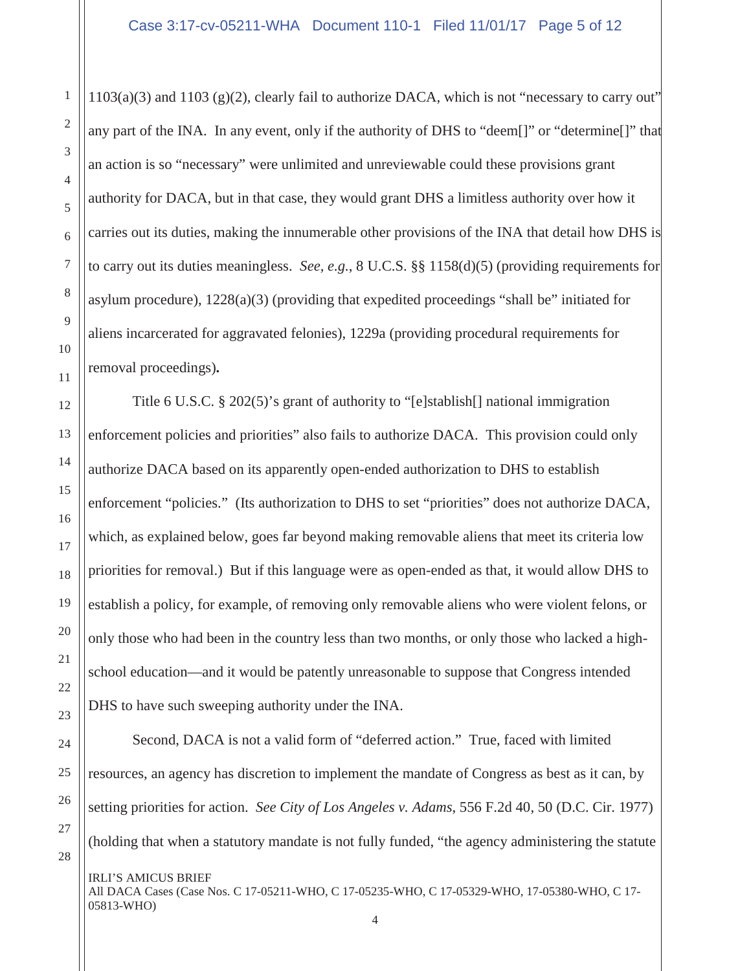$1103(a)(3)$  and  $1103(g)(2)$ , clearly fail to authorize DACA, which is not "necessary to carry out" any part of the INA. In any event, only if the authority of DHS to "deem[]" or "determine[]" that an action is so "necessary" were unlimited and unreviewable could these provisions grant authority for DACA, but in that case, they would grant DHS a limitless authority over how it carries out its duties, making the innumerable other provisions of the INA that detail how DHS is to carry out its duties meaningless. *See, e.g.*, 8 U.C.S. §§ 1158(d)(5) (providing requirements for asylum procedure), 1228(a)(3) (providing that expedited proceedings "shall be" initiated for aliens incarcerated for aggravated felonies), 1229a (providing procedural requirements for removal proceedings)**.**

Title 6 U.S.C. § 202(5)'s grant of authority to "[e]stablish[] national immigration enforcement policies and priorities" also fails to authorize DACA. This provision could only authorize DACA based on its apparently open-ended authorization to DHS to establish enforcement "policies." (Its authorization to DHS to set "priorities" does not authorize DACA, which, as explained below, goes far beyond making removable aliens that meet its criteria low priorities for removal.) But if this language were as open-ended as that, it would allow DHS to establish a policy, for example, of removing only removable aliens who were violent felons, or only those who had been in the country less than two months, or only those who lacked a highschool education—and it would be patently unreasonable to suppose that Congress intended DHS to have such sweeping authority under the INA.

Second, DACA is not a valid form of "deferred action." True, faced with limited resources, an agency has discretion to implement the mandate of Congress as best as it can, by setting priorities for action. *See City of Los Angeles v. Adams*, 556 F.2d 40, 50 (D.C. Cir. 1977) (holding that when a statutory mandate is not fully funded, "the agency administering the statute

IRLI'S AMICUS BRIEF All DACA Cases (Case Nos. C 17-05211-WHO, C 17-05235-WHO, C 17-05329-WHO, 17-05380-WHO, C 17- 05813-WHO) 4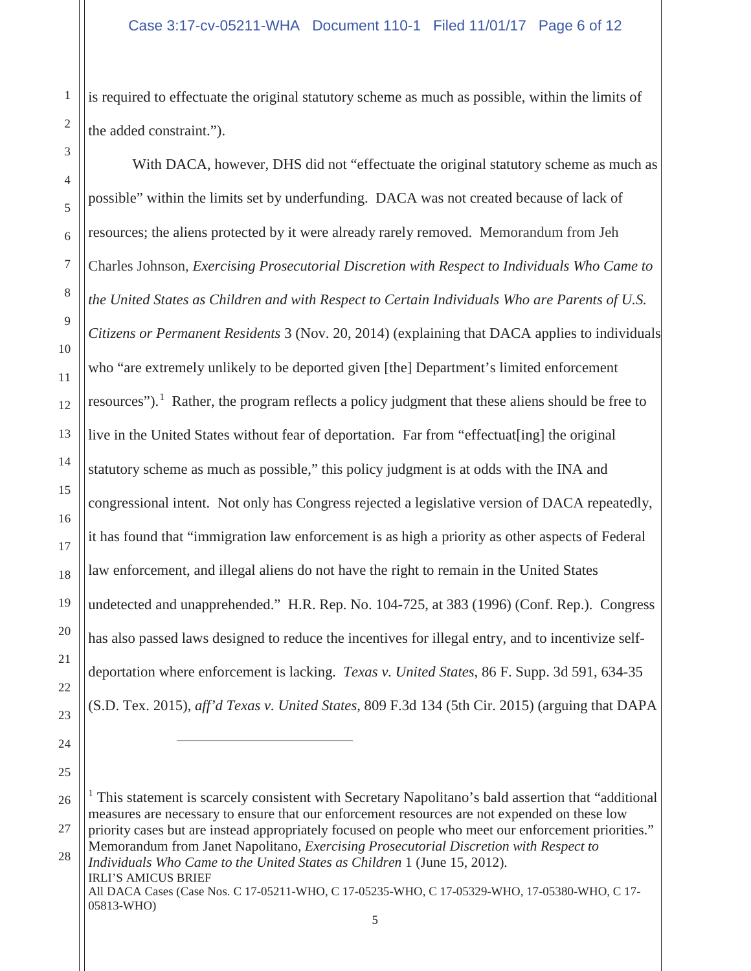is required to effectuate the original statutory scheme as much as possible, within the limits of the added constraint.").

With DACA, however, DHS did not "effectuate the original statutory scheme as much as possible" within the limits set by underfunding. DACA was not created because of lack of resources; the aliens protected by it were already rarely removed. Memorandum from Jeh Charles Johnson, *Exercising Prosecutorial Discretion with Respect to Individuals Who Came to the United States as Children and with Respect to Certain Individuals Who are Parents of U.S. Citizens or Permanent Residents* 3 (Nov. 20, 2014) (explaining that DACA applies to individuals who "are extremely unlikely to be deported given [the] Department's limited enforcement resources").<sup>1</sup> Rather, the program reflects a policy judgment that these aliens should be free to live in the United States without fear of deportation. Far from "effectuat[ing] the original statutory scheme as much as possible," this policy judgment is at odds with the INA and congressional intent. Not only has Congress rejected a legislative version of DACA repeatedly, it has found that "immigration law enforcement is as high a priority as other aspects of Federal law enforcement, and illegal aliens do not have the right to remain in the United States undetected and unapprehended." H.R. Rep. No. 104-725, at 383 (1996) (Conf. Rep.). Congress has also passed laws designed to reduce the incentives for illegal entry, and to incentivize selfdeportation where enforcement is lacking. *Texas v. United States*, 86 F. Supp. 3d 591, 634-35 (S.D. Tex. 2015), *aff'd Texas v. United States*, 809 F.3d 134 (5th Cir. 2015) (arguing that DAPA

26 27 28 IRLI'S AMICUS BRIEF All DACA Cases (Case Nos. C 17-05211-WHO, C 17-05235-WHO, C 17-05329-WHO, 17-05380-WHO, C 17- 05813-WHO) <sup>1</sup> This statement is scarcely consistent with Secretary Napolitano's bald assertion that "additional" measures are necessary to ensure that our enforcement resources are not expended on these low priority cases but are instead appropriately focused on people who meet our enforcement priorities." Memorandum from Janet Napolitano, *Exercising Prosecutorial Discretion with Respect to Individuals Who Came to the United States as Children* 1 (June 15, 2012).

1

2

3

4

5

6

7

8

9

10

11

12

13

14

15

16

17

18

19

20

21

22

23

24

25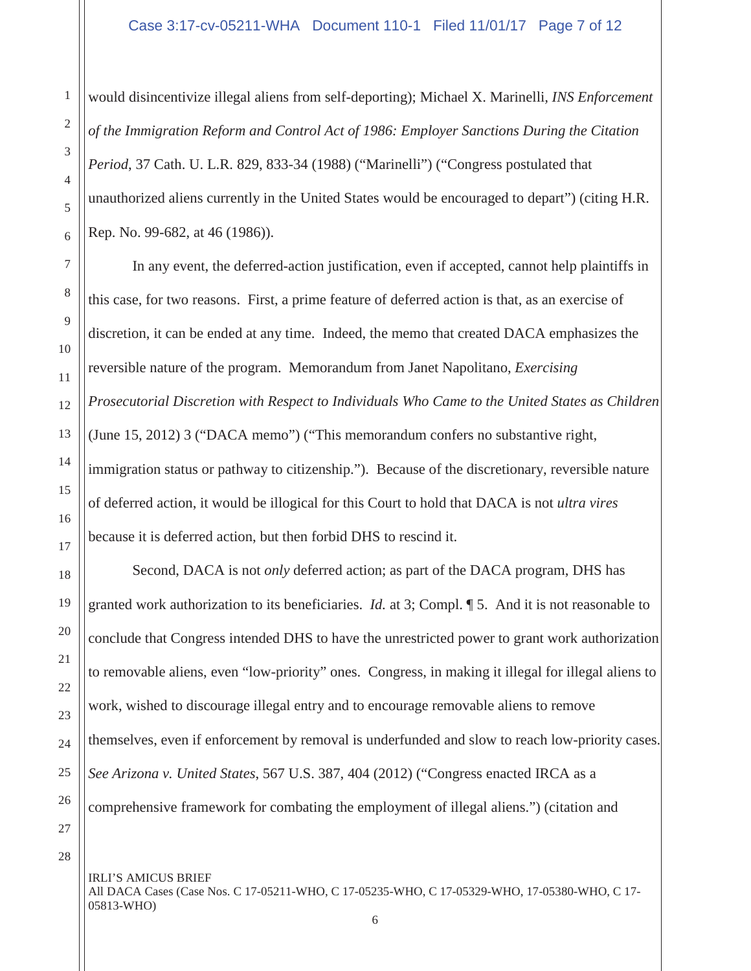would disincentivize illegal aliens from self-deporting); Michael X. Marinelli*, INS Enforcement of the Immigration Reform and Control Act of 1986: Employer Sanctions During the Citation Period*, 37 Cath. U. L.R. 829, 833-34 (1988) ("Marinelli") ("Congress postulated that unauthorized aliens currently in the United States would be encouraged to depart") (citing H.R. Rep. No. 99-682, at 46 (1986)).

In any event, the deferred-action justification, even if accepted, cannot help plaintiffs in this case, for two reasons. First, a prime feature of deferred action is that, as an exercise of discretion, it can be ended at any time. Indeed, the memo that created DACA emphasizes the reversible nature of the program. Memorandum from Janet Napolitano, *Exercising Prosecutorial Discretion with Respect to Individuals Who Came to the United States as Children* (June 15, 2012) 3 ("DACA memo") ("This memorandum confers no substantive right, immigration status or pathway to citizenship."). Because of the discretionary, reversible nature of deferred action, it would be illogical for this Court to hold that DACA is not *ultra vires* because it is deferred action, but then forbid DHS to rescind it.

Second, DACA is not *only* deferred action; as part of the DACA program, DHS has granted work authorization to its beneficiaries. *Id.* at 3; Compl. ¶ 5. And it is not reasonable to conclude that Congress intended DHS to have the unrestricted power to grant work authorization to removable aliens, even "low-priority" ones. Congress, in making it illegal for illegal aliens to work, wished to discourage illegal entry and to encourage removable aliens to remove themselves, even if enforcement by removal is underfunded and slow to reach low-priority cases. *See Arizona v. United States*, 567 U.S. 387, 404 (2012) ("Congress enacted IRCA as a comprehensive framework for combating the employment of illegal aliens.") (citation and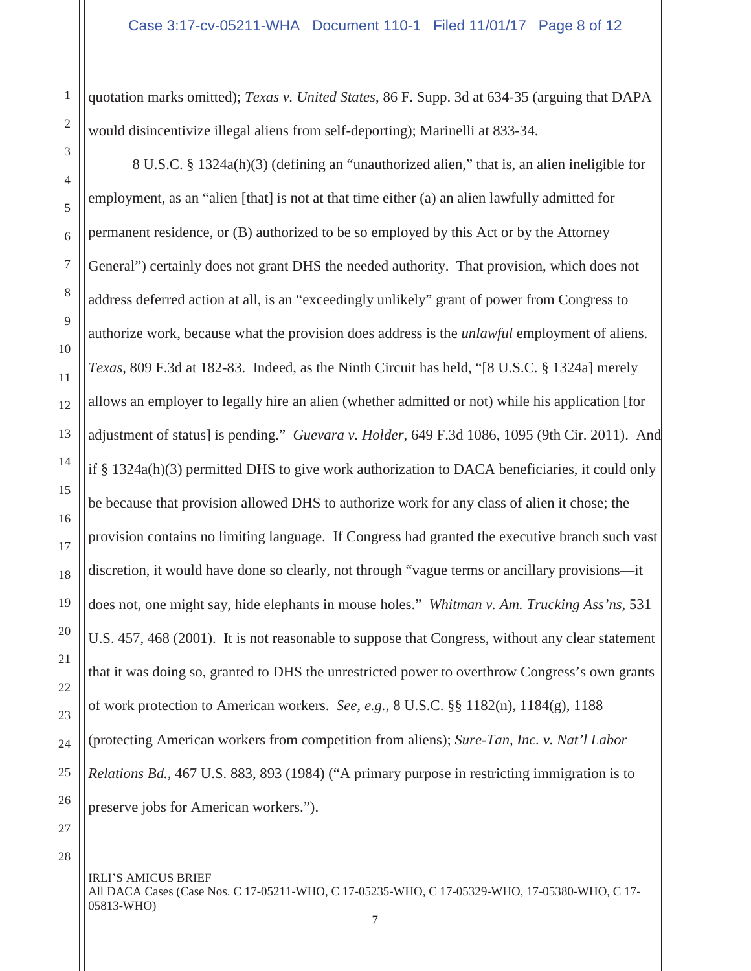quotation marks omitted); *Texas v. United States*, 86 F. Supp. 3d at 634-35 (arguing that DAPA would disincentivize illegal aliens from self-deporting); Marinelli at 833-34.

8 U.S.C. § 1324a(h)(3) (defining an "unauthorized alien," that is, an alien ineligible for employment, as an "alien [that] is not at that time either (a) an alien lawfully admitted for permanent residence, or (B) authorized to be so employed by this Act or by the Attorney General") certainly does not grant DHS the needed authority. That provision, which does not address deferred action at all, is an "exceedingly unlikely" grant of power from Congress to authorize work, because what the provision does address is the *unlawful* employment of aliens. *Texas,* 809 F.3d at 182-83. Indeed, as the Ninth Circuit has held, "[8 U.S.C. § 1324a] merely allows an employer to legally hire an alien (whether admitted or not) while his application [for adjustment of status] is pending." *Guevara v. Holder*, 649 F.3d 1086, 1095 (9th Cir. 2011). And if § 1324a(h)(3) permitted DHS to give work authorization to DACA beneficiaries, it could only be because that provision allowed DHS to authorize work for any class of alien it chose; the provision contains no limiting language. If Congress had granted the executive branch such vast discretion, it would have done so clearly, not through "vague terms or ancillary provisions—it does not, one might say, hide elephants in mouse holes." *Whitman v. Am. Trucking Ass'ns,* 531 U.S. 457, 468 (2001). It is not reasonable to suppose that Congress, without any clear statement that it was doing so, granted to DHS the unrestricted power to overthrow Congress's own grants of work protection to American workers. *See, e.g.,* 8 U.S.C. §§ 1182(n), 1184(g), 1188 (protecting American workers from competition from aliens); *Sure-Tan, Inc. v. Nat'l Labor Relations Bd.,* 467 U.S. 883, 893 (1984) ("A primary purpose in restricting immigration is to preserve jobs for American workers.").

1

2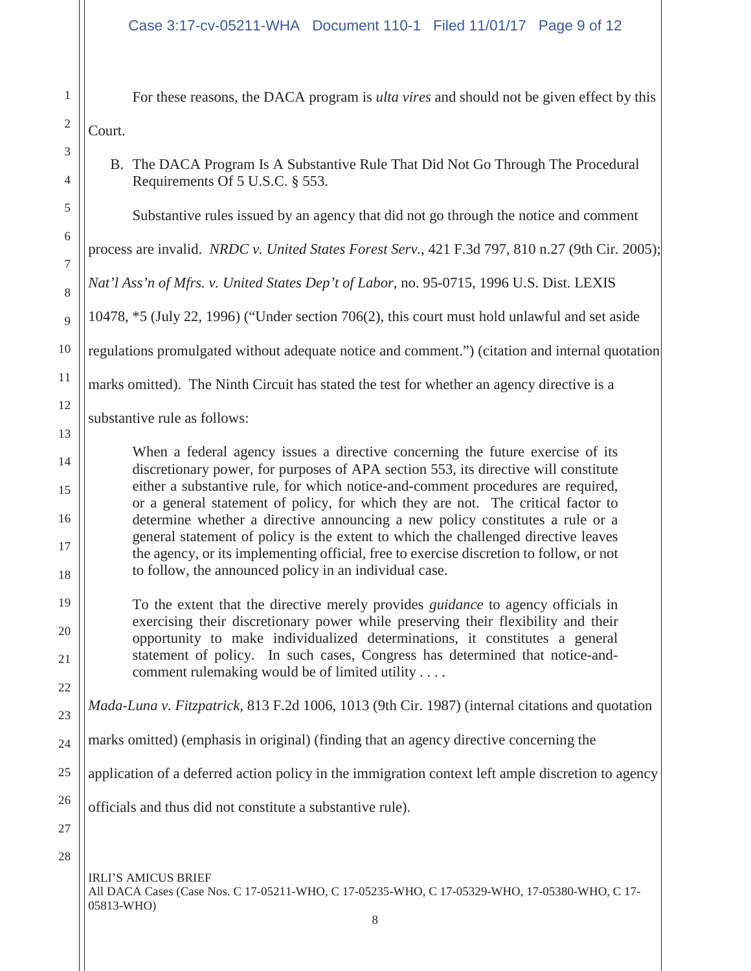For these reasons, the DACA program is *ulta vires* and should not be given effect by this Court.

B. The DACA Program Is A Substantive Rule That Did Not Go Through The Procedural Requirements Of 5 U.S.C. § 553.

Substantive rules issued by an agency that did not go through the notice and comment

process are invalid. *NRDC v. United States Forest Serv.*, 421 F.3d 797, 810 n.27 (9th Cir. 2005);

*Nat'l Ass'n of Mfrs. v. United States Dep't of Labor*, no. 95-0715, 1996 U.S. Dist. LEXIS

10478, \*5 (July 22, 1996) ("Under section 706(2), this court must hold unlawful and set aside

regulations promulgated without adequate notice and comment.") (citation and internal quotation

marks omitted). The Ninth Circuit has stated the test for whether an agency directive is a

substantive rule as follows:

When a federal agency issues a directive concerning the future exercise of its discretionary power, for purposes of APA section 553, its directive will constitute either a substantive rule, for which notice-and-comment procedures are required, or a general statement of policy, for which they are not. The critical factor to determine whether a directive announcing a new policy constitutes a rule or a general statement of policy is the extent to which the challenged directive leaves the agency, or its implementing official, free to exercise discretion to follow, or not to follow, the announced policy in an individual case.

To the extent that the directive merely provides *guidance* to agency officials in exercising their discretionary power while preserving their flexibility and their opportunity to make individualized determinations, it constitutes a general statement of policy. In such cases, Congress has determined that notice-andcomment rulemaking would be of limited utility . . . .

*Mada-Luna v. Fitzpatrick,* 813 F.2d 1006, 1013 (9th Cir. 1987) (internal citations and quotation

24 marks omitted) (emphasis in original) (finding that an agency directive concerning the

25 application of a deferred action policy in the immigration context left ample discretion to agency

officials and thus did not constitute a substantive rule).

28

26

27

1

2

3

4

5

6

7

8

9

10

11

12

13

14

15

16

17

18

19

20

21

22

23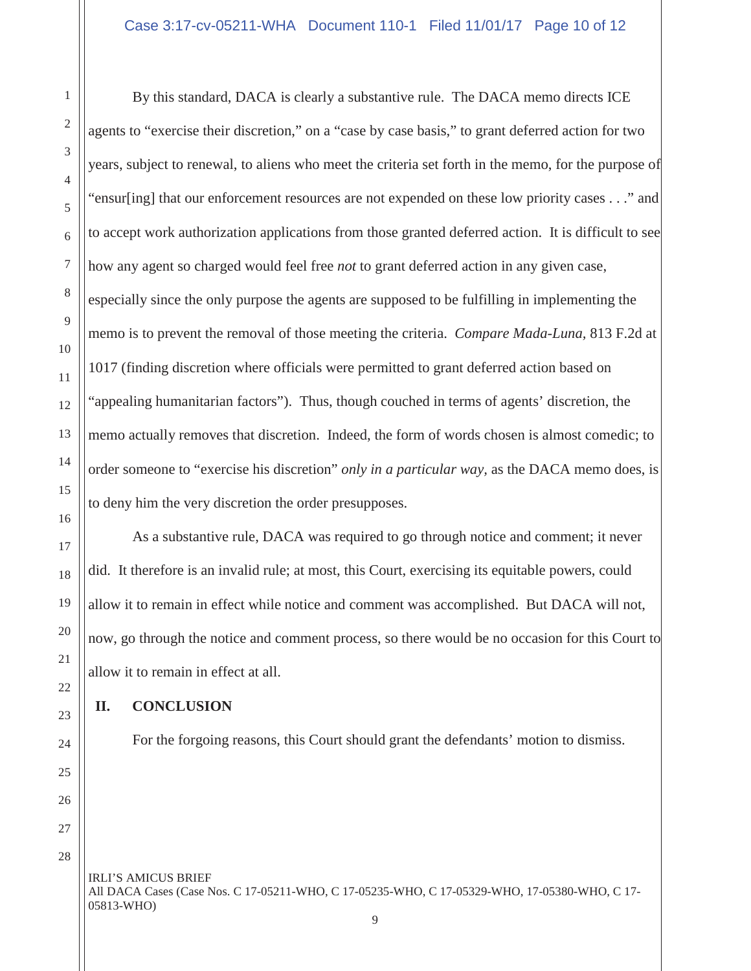By this standard, DACA is clearly a substantive rule. The DACA memo directs ICE agents to "exercise their discretion," on a "case by case basis," to grant deferred action for two years, subject to renewal, to aliens who meet the criteria set forth in the memo, for the purpose of "ensur[ing] that our enforcement resources are not expended on these low priority cases . . ." and to accept work authorization applications from those granted deferred action. It is difficult to see how any agent so charged would feel free *not* to grant deferred action in any given case, especially since the only purpose the agents are supposed to be fulfilling in implementing the memo is to prevent the removal of those meeting the criteria. *Compare Mada-Luna,* 813 F.2d at 1017 (finding discretion where officials were permitted to grant deferred action based on "appealing humanitarian factors"). Thus, though couched in terms of agents' discretion, the memo actually removes that discretion. Indeed, the form of words chosen is almost comedic; to order someone to "exercise his discretion" *only in a particular way,* as the DACA memo does, is to deny him the very discretion the order presupposes.

As a substantive rule, DACA was required to go through notice and comment; it never did. It therefore is an invalid rule; at most, this Court, exercising its equitable powers, could allow it to remain in effect while notice and comment was accomplished. But DACA will not, now, go through the notice and comment process, so there would be no occasion for this Court to allow it to remain in effect at all.

## **II. CONCLUSION**

For the forgoing reasons, this Court should grant the defendants' motion to dismiss.

1

2

3

4

5

6

7

8

9

10

11

12

13

14

15

16

17

18

19

20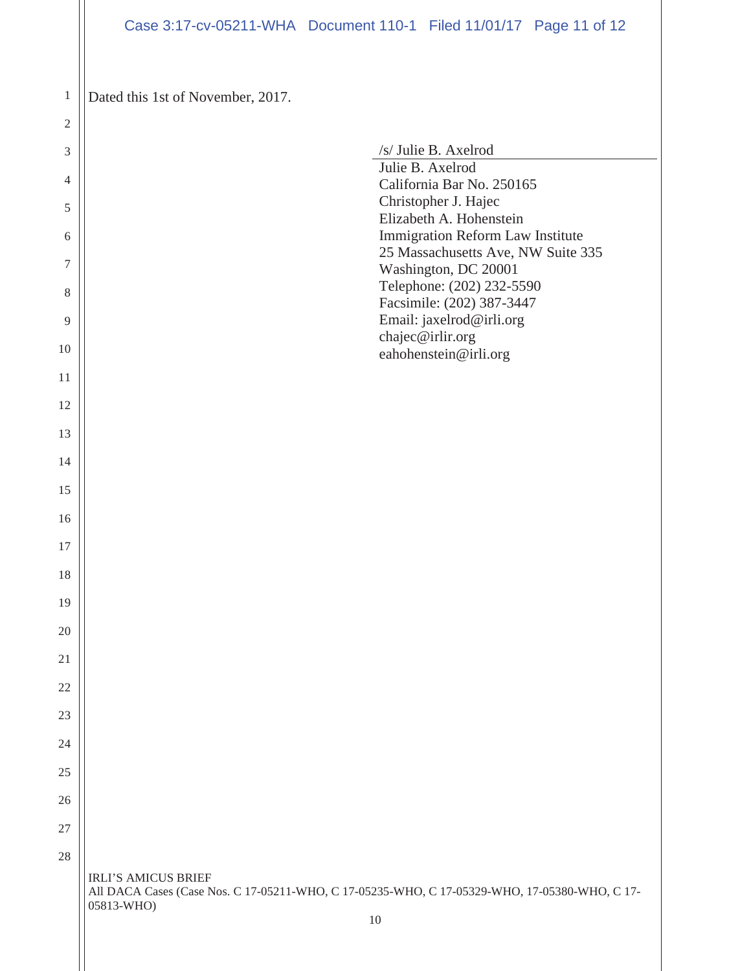Dated this 1st of November, 2017.

| $\sqrt{2}$     |                                                                                                                                           |
|----------------|-------------------------------------------------------------------------------------------------------------------------------------------|
| 3              | /s/ Julie B. Axelrod                                                                                                                      |
| $\overline{4}$ | Julie B. Axelrod<br>California Bar No. 250165                                                                                             |
| $\sqrt{5}$     | Christopher J. Hajec                                                                                                                      |
| 6              | Elizabeth A. Hohenstein<br>Immigration Reform Law Institute                                                                               |
| 7              | 25 Massachusetts Ave, NW Suite 335                                                                                                        |
| $\,8\,$        | Washington, DC 20001<br>Telephone: (202) 232-5590                                                                                         |
| 9              | Facsimile: (202) 387-3447<br>Email: jaxelrod@irli.org                                                                                     |
| 10             | chajec@irlir.org<br>eahohenstein@irli.org                                                                                                 |
| 11             |                                                                                                                                           |
| 12             |                                                                                                                                           |
| 13             |                                                                                                                                           |
| 14             |                                                                                                                                           |
| 15             |                                                                                                                                           |
| 16             |                                                                                                                                           |
| 17             |                                                                                                                                           |
| 18             |                                                                                                                                           |
| 19             |                                                                                                                                           |
|                |                                                                                                                                           |
| 20             |                                                                                                                                           |
| 21             |                                                                                                                                           |
| 22             |                                                                                                                                           |
| 23             |                                                                                                                                           |
| 24             |                                                                                                                                           |
| 25             |                                                                                                                                           |
| 26             |                                                                                                                                           |
| 27             |                                                                                                                                           |
| 28             |                                                                                                                                           |
|                | <b>IRLI'S AMICUS BRIEF</b><br>All DACA Cases (Case Nos. C 17-05211-WHO, C 17-05235-WHO, C 17-05329-WHO, 17-05380-WHO, C 17-<br>05813-WHO) |
|                | 10                                                                                                                                        |